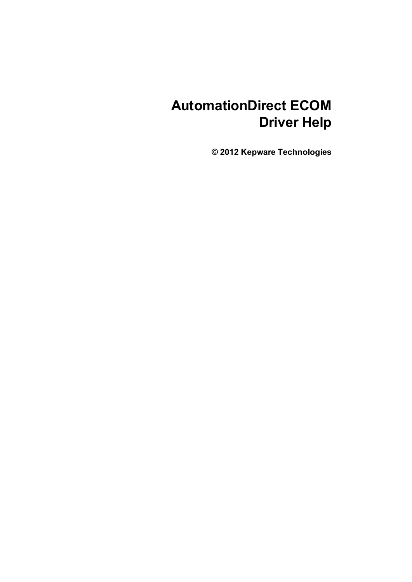# **AutomationDirect ECOM Driver Help**

**© 2012 Kepware Technologies**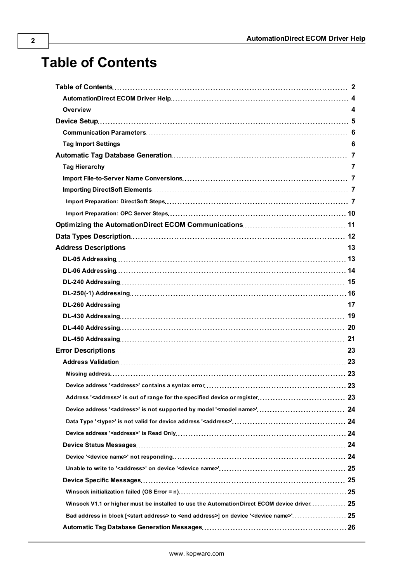# <span id="page-1-0"></span>**Table of Contents**

| DL-240 Addressing……………………………………………………………………………………… 15                                                                 |  |
|-----------------------------------------------------------------------------------------------------------------------|--|
|                                                                                                                       |  |
| DL-260 Addressing…………………………………………………………………………………… 17                                                                  |  |
|                                                                                                                       |  |
|                                                                                                                       |  |
|                                                                                                                       |  |
|                                                                                                                       |  |
|                                                                                                                       |  |
|                                                                                                                       |  |
|                                                                                                                       |  |
|                                                                                                                       |  |
|                                                                                                                       |  |
|                                                                                                                       |  |
|                                                                                                                       |  |
|                                                                                                                       |  |
|                                                                                                                       |  |
|                                                                                                                       |  |
|                                                                                                                       |  |
|                                                                                                                       |  |
| Winsock V1.1 or higher must be installed to use the AutomationDirect ECOM device driver 25                            |  |
| Bad address in block [ <start address=""> to <end address="">] on device '<device name="">' 25</device></end></start> |  |
|                                                                                                                       |  |
|                                                                                                                       |  |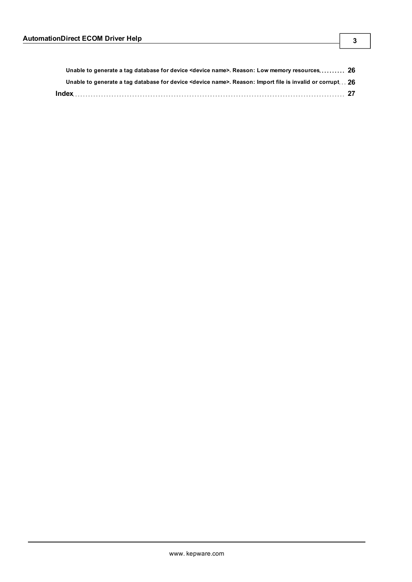| Unable to generate a tag database for device <device name="">. Reason: Import file is invalid or corrupt 26</device> |  |
|----------------------------------------------------------------------------------------------------------------------|--|
| Unable to generate a tag database for device <device name="">. Reason: Low memory resources 26</device>              |  |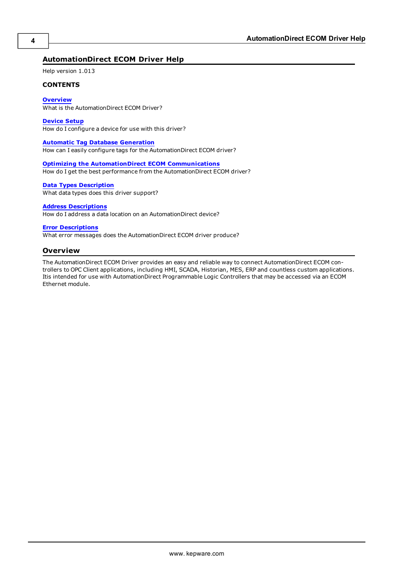#### <span id="page-3-0"></span>**AutomationDirect ECOM Driver Help**

Help version 1.013

#### **CONTENTS**

#### **[Overview](#page-3-1)**

What is the AutomationDirect ECOM Driver?

#### **[Device](#page-4-0) [Setup](#page-4-0)**

How do I configure a device for use with this driver?

#### **[Automatic](#page-6-0) [Tag](#page-6-0) [Database](#page-6-0) [Generation](#page-6-0)**

How can I easily configure tags for the AutomationDirect ECOM driver?

#### **[Optimizing](#page-10-0) [the](#page-10-0) [AutomationDirect](#page-10-0) [ECOM](#page-10-0) [Communications](#page-10-0)**

How do I get the best performance from the AutomationDirect ECOM driver?

#### **[Data](#page-11-0) [Types](#page-11-0) [Description](#page-11-0)**

What data types does this driver support?

#### **[Address](#page-12-0) [Descriptions](#page-12-0)**

How do I address a data location on an AutomationDirect device?

#### **[Error](#page-22-0) [Descriptions](#page-22-0)**

<span id="page-3-1"></span>What error messages does the AutomationDirect ECOM driver produce?

#### **Overview**

The AutomationDirect ECOM Driver provides an easy and reliable way to connect AutomationDirect ECOM controllers to OPC Client applications, including HMI, SCADA, Historian, MES, ERP and countless custom applications. Itis intended for use with AutomationDirect Programmable Logic Controllers that may be accessed via an ECOM Ethernet module.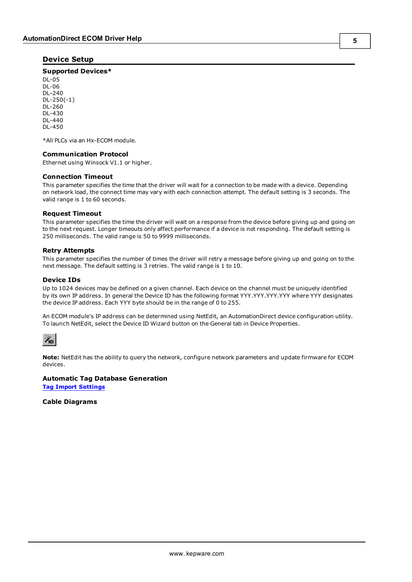#### <span id="page-4-0"></span>**Device Setup**

#### **Supported Devices\***

DL-05 DL-06 DL-240 DL-250(-1) DL-260 DL-430 DL-440 DL-450

<span id="page-4-2"></span>\*All PLCs via an Hx-ECOM module.

#### **Communication Protocol**

Ethernet using Winsock V1.1 or higher.

#### <span id="page-4-4"></span>**Connection Timeout**

This parameter specifies the time that the driver will wait for a connection to be made with a device. Depending on network load, the connect time may vary with each connection attempt. The default setting is 3 seconds. The valid range is 1 to 60 seconds.

#### **Request Timeout**

This parameter specifies the time the driver will wait on a response from the device before giving up and going on to the next request. Longer timeouts only affect performance if a device is not responding. The default setting is 250 milliseconds. The valid range is 50 to 9999 milliseconds.

#### **Retry Attempts**

This parameter specifies the number of times the driver will retry a message before giving up and going on to the next message. The default setting is 3 retries. The valid range is 1 to 10.

#### <span id="page-4-3"></span><span id="page-4-1"></span>**Device IDs**

Up to 1024 devices may be defined on a given channel. Each device on the channel must be uniquely identified by its own IP address. In general the Device ID has the following format YYY.YYY.YYY.YYY where YYY designates the device IP address. Each YYY byte should be in the range of 0 to 255.

An ECOM module's IP address can be determined using NetEdit, an AutomationDirect device configuration utility. To launch NetEdit, select the Device ID Wizard button on the General tab in Device Properties.



**Note:** NetEdit has the ability to query the network, configure network parameters and update firmware for ECOM devices.

#### **Automatic Tag Database Generation**

**[Tag](#page-5-1) [Import](#page-5-1) [Settings](#page-5-1)**

#### **Cable Diagrams**

**5**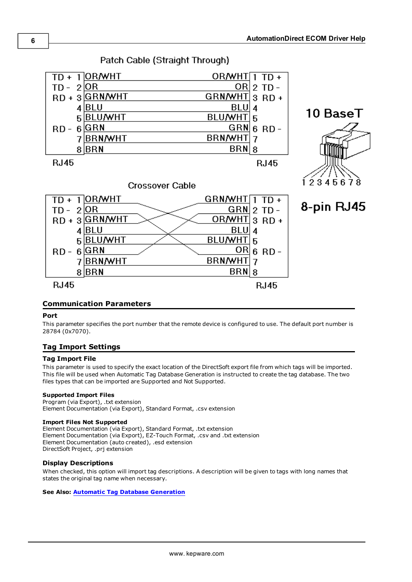

#### <span id="page-5-0"></span>**Communication Parameters**

#### **Port**

This parameter specifies the port number that the remote device is configured to use. The default port number is 28784 (0x7070).

#### <span id="page-5-1"></span>**Tag Import Settings**

#### **Tag Import File**

This parameter is used to specify the exact location of the DirectSoft export file from which tags will be imported. This file will be used when Automatic Tag Database Generation is instructed to create the tag database. The two files types that can be imported are Supported and Not Supported.

#### **Supported Import Files**

<span id="page-5-2"></span>Program (via Export), .txt extension Element Documentation (via Export), Standard Format, .csv extension

#### **Import Files Not Supported**

Element Documentation (via Export), Standard Format, .txt extension Element Documentation (via Export), EZ-Touch Format, .csv and .txt extension Element Documentation (auto created), .esd extension DirectSoft Project, .prj extension

#### **Display Descriptions**

When checked, this option will import tag descriptions. A description will be given to tags with long names that states the original tag name when necessary.

#### **See Also: [Automatic](#page-6-0) [Tag](#page-6-0) [Database](#page-6-0) [Generation](#page-6-0)**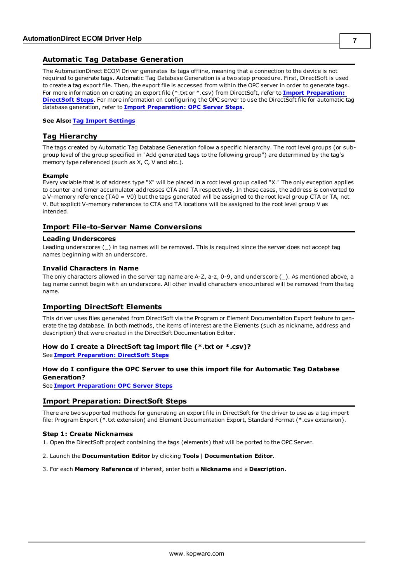#### <span id="page-6-0"></span>**Automatic Tag Database Generation**

The AutomationDirect ECOM Driver generates its tags offline, meaning that a connection to the device is not required to generate tags. Automatic Tag Database Generation is a two step procedure. First, DirectSoft is used to create a tag export file. Then, the export file is accessed from within the OPC server in order to generate tags. For more information on creating an export file (\*.txt or \*.csv) from DirectSoft, refer to **[Import](#page-6-4) [Preparation:](#page-6-4) [DirectSoft](#page-6-4) [Steps](#page-6-4)**. For more information on configuring the OPC server to use the DirectSoft file for automatic tag database generation, refer to **[Import](#page-9-0) [Preparation:](#page-9-0) [OPC](#page-9-0) [Server](#page-9-0) [Steps](#page-9-0)**.

#### <span id="page-6-1"></span>**See Also: [Tag](#page-5-1) [Import](#page-5-1) [Settings](#page-5-1)**

#### **Tag Hierarchy**

The tags created by Automatic Tag Database Generation follow a specific hierarchy. The root level groups (or subgroup level of the group specified in "Add generated tags to the following group") are determined by the tag's memory type referenced (such as X, C, V and etc.).

#### **Example**

Every variable that is of address type "X" will be placed in a root level group called "X." The only exception applies to counter and timer accumulator addresses CTA and TA respectively. In these cases, the address is converted to a V-memory reference (TA0 = V0) but the tags generated will be assigned to the root level group CTA or TA, not V. But explicit V-memory references to CTA and TA locations will be assigned to the root level group V as intended.

#### <span id="page-6-2"></span>**Import File-to-Server Name Conversions**

#### **Leading Underscores**

Leading underscores (\_) in tag names will be removed. This is required since the server does not accept tag names beginning with an underscore.

#### **Invalid Characters in Name**

The only characters allowed in the server tag name are A-Z, a-z, 0-9, and underscore (\_). As mentioned above, a tag name cannot begin with an underscore. All other invalid characters encountered will be removed from the tag name.

#### <span id="page-6-3"></span>**Importing DirectSoft Elements**

This driver uses files generated from DirectSoft via the Program or Element Documentation Export feature to generate the tag database. In both methods, the items of interest are the Elements (such as nickname, address and description) that were created in the DirectSoft Documentation Editor.

#### **How do I create a DirectSoft tag import file (\*.txt or \*.csv)?**

See **[Import](#page-6-4) [Preparation:](#page-6-4) [DirectSoft](#page-6-4) [Steps](#page-6-4)**

#### **How do I configure the OPC Server to use this import file for Automatic Tag Database Generation?**

<span id="page-6-4"></span>See **[Import](#page-9-0) [Preparation:](#page-9-0) [OPC](#page-9-0) [Server](#page-9-0) [Steps](#page-9-0)**

#### **Import Preparation: DirectSoft Steps**

There are two supported methods for generating an export file in DirectSoft for the driver to use as a tag import file: Program Export (\*.txt extension) and Element Documentation Export, Standard Format (\*.csv extension).

#### **Step 1: Create Nicknames**

1. Open the DirectSoft project containing the tags (elements) that will be ported to the OPC Server.

#### 2. Launch the **Documentation Editor** by clicking **Tools** | **Documentation Editor**.

#### 3. For each **Memory Reference** of interest, enter both a **Nickname** and a **Description**.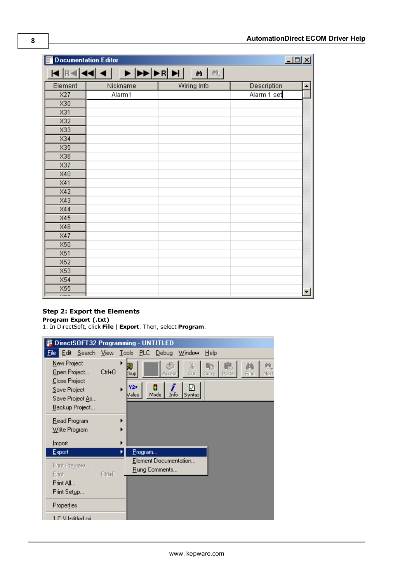| <b>Documentation Editor</b>     |                            |             | $\Box$                          |
|---------------------------------|----------------------------|-------------|---------------------------------|
|                                 | KRIKI KI DI DI DI DI DI DI | 鱼           |                                 |
| Element                         | Nickname                   | Wiring Info | Description<br>$\blacktriangle$ |
| X27                             | Alarm1                     |             | Alarm 1 set                     |
| X30                             |                            |             |                                 |
| X31                             |                            |             |                                 |
| X32                             |                            |             |                                 |
| X33                             |                            |             |                                 |
| X34                             |                            |             |                                 |
| X35                             |                            |             |                                 |
| X36                             |                            |             |                                 |
| X37                             |                            |             |                                 |
| X40                             |                            |             |                                 |
| X41                             |                            |             |                                 |
| X42                             |                            |             |                                 |
| X43                             |                            |             |                                 |
| X44                             |                            |             |                                 |
| X45                             |                            |             |                                 |
| X46                             |                            |             |                                 |
| X47                             |                            |             |                                 |
| X50                             |                            |             |                                 |
| X51                             |                            |             |                                 |
| X52                             |                            |             |                                 |
| X53                             |                            |             |                                 |
| X54                             |                            |             |                                 |
| X55<br>$\overline{\phantom{a}}$ |                            |             | ▾╎                              |

#### **Step 2: Export the Elements**

**Program Export (.txt)**

1. In DirectSoft, click **File** | **Export**. Then, select **Program**.

|                                                                                 |           | DirectSOFT32 Programming - UNTITLED                                                                                                                |
|---------------------------------------------------------------------------------|-----------|----------------------------------------------------------------------------------------------------------------------------------------------------|
| Edit Search View<br>File                                                        |           | Lools PLC Debug<br>Window<br>Help                                                                                                                  |
| New Project<br>Open Project<br>Close Project<br>Save Project<br>Save Project As | Ctrl+0    | 魄<br>š<br>Ċ.<br>ľe<br>a.<br>Cut<br>Next.<br>‡kup∥<br>Find<br>Copy<br>Paste<br>Accept<br>☑<br>i<br>Y2=<br>н<br>▶<br>Info<br>Mode<br>√alue<br>Syntax |
| Backup Project                                                                  |           |                                                                                                                                                    |
| Read Program<br>Write Program                                                   |           |                                                                                                                                                    |
| <b>Import</b>                                                                   |           |                                                                                                                                                    |
| Export                                                                          |           | Program                                                                                                                                            |
| Print Preview<br>Print                                                          | $C$ trl+P | Element Documentation<br>Rung Comments                                                                                                             |
| Print All                                                                       |           |                                                                                                                                                    |
| Print Setup                                                                     |           |                                                                                                                                                    |
| Properties                                                                      |           |                                                                                                                                                    |
| 1 C:\Llotitled.ori                                                              |           |                                                                                                                                                    |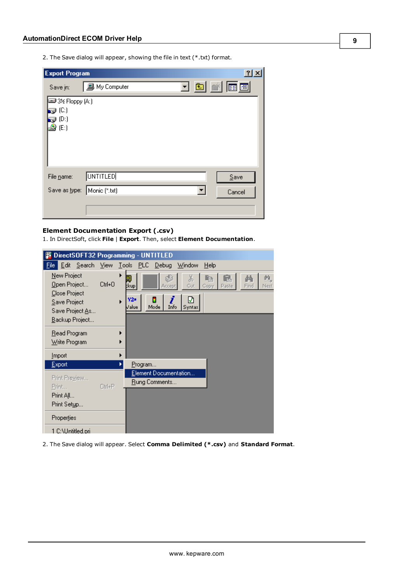2. The Save dialog will appear, showing the file in text (\*.txt) format.

| <b>Export Program</b>       |                      |     | $2 \times$                                             |  |
|-----------------------------|----------------------|-----|--------------------------------------------------------|--|
| Save in:                    | <b>鳳</b> My Computer | 그 희 | $\mathbb{R}$ $\boxed{\mathbb{E}}$ $\boxed{\mathbb{E}}$ |  |
| ■3½ Floppy (A:)             |                      |     |                                                        |  |
| @ (C:)<br>(D)               |                      |     |                                                        |  |
| (E)<br>ъ,                   |                      |     |                                                        |  |
|                             |                      |     |                                                        |  |
|                             |                      |     |                                                        |  |
|                             |                      |     |                                                        |  |
| File name:                  | <b>UNTITLED</b>      |     | Save                                                   |  |
| Save as type: Monic (*.txt) |                      |     | Cancel                                                 |  |
|                             |                      |     |                                                        |  |
|                             |                      |     |                                                        |  |

#### **Element Documentation Export (.csv)**

1. In DirectSoft, click **File** | **Export**. Then, select **Element Documentation**.

|                                                                                 |         | DirectSOFT32 Programming - UNTITLED                                                                                                         |
|---------------------------------------------------------------------------------|---------|---------------------------------------------------------------------------------------------------------------------------------------------|
| Edit Search<br>File                                                             | View    | Lools PLC<br><u>D</u> ebug<br>Window<br>Help                                                                                                |
| New Project<br>Open Project<br>Close Project<br>Save Project<br>Save Project As | $Cth+O$ | X<br>蝕<br>国<br>m<br>ľb<br>C.<br>Cut<br>Find<br>Next<br>:kup <br>Paste<br>Accept<br>Copy<br>Y2*<br>₽<br>▶<br>Info<br>Mode<br>Value<br>Syntax |
| Backup Project                                                                  |         |                                                                                                                                             |
| Read Program<br>Write Program                                                   |         |                                                                                                                                             |
| Import                                                                          |         |                                                                                                                                             |
| Export                                                                          |         | Program                                                                                                                                     |
| Print Preview<br>Print<br>Print All                                             | Ctrl+P  | Element Documentation<br>Rung Comments                                                                                                      |
| Print Setup                                                                     |         |                                                                                                                                             |
| Properties                                                                      |         |                                                                                                                                             |
| 1 C:\Untitled.pri                                                               |         |                                                                                                                                             |

2. The Save dialog will appear. Select **Comma Delimited (\*.csv)** and **Standard Format**.

**9**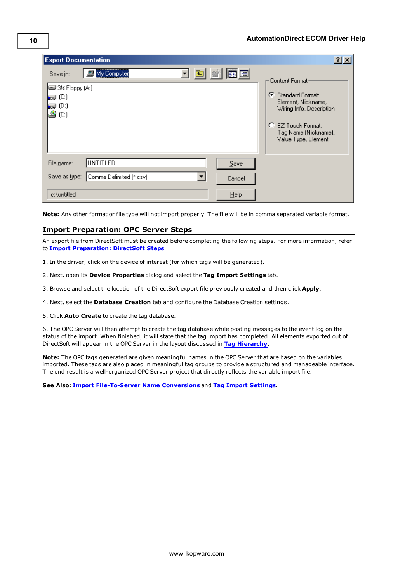| <b>Export Documentation</b>                                                                   | $ ?  \times$                                                                                                                                                           |
|-----------------------------------------------------------------------------------------------|------------------------------------------------------------------------------------------------------------------------------------------------------------------------|
| My Computer<br>Save in:<br>■3½ Floppy (A:)<br>IŞ (C)<br>$\bigoplus$ (D:)<br>$\triangleq$ (E:) | Content Format:<br>Ø<br><b>Standard Format:</b><br>Element, Nickname,<br>Wiring Info, Description<br>C EZ-Touch Format:<br>Tag Name (Nickname),<br>Value Type, Element |
| UNTITLED<br>File name:<br>Save<br>Comma Delimited [*.csv]<br>Save as type:<br>Cancel          |                                                                                                                                                                        |
| Help<br>c:\untitled                                                                           |                                                                                                                                                                        |

<span id="page-9-0"></span>**Note:** Any other format or file type will not import properly. The file will be in comma separated variable format.

#### **Import Preparation: OPC Server Steps**

An export file from DirectSoft must be created before completing the following steps. For more information, refer to **[Import](#page-6-4) [Preparation:](#page-6-4) [DirectSoft](#page-6-4) [Steps](#page-6-4)**.

- 1. In the driver, click on the device of interest (for which tags will be generated).
- 2. Next, open its **Device Properties** dialog and select the **Tag Import Settings** tab.
- 3. Browse and select the location of the DirectSoft export file previously created and then click **Apply**.
- 4. Next, select the **Database Creation** tab and configure the Database Creation settings.
- 5. Click **Auto Create** to create the tag database.

6. The OPC Server will then attempt to create the tag database while posting messages to the event log on the status of the import. When finished, it will state that the tag import has completed. All elements exported out of DirectSoft will appear in the OPC Server in the layout discussed in **[Tag](#page-6-1) [Hierarchy](#page-6-1)**.

**Note:** The OPC tags generated are given meaningful names in the OPC Server that are based on the variables imported. These tags are also placed in meaningful tag groups to provide a structured and manageable interface. The end result is a well-organized OPC Server project that directly reflects the variable import file.

**See Also: [Import](#page-6-2) [File-To-Server](#page-6-2) [Name](#page-6-2) [Conversions](#page-6-2)** and **[Tag](#page-5-1) [Import](#page-5-1) [Settings](#page-5-1)**.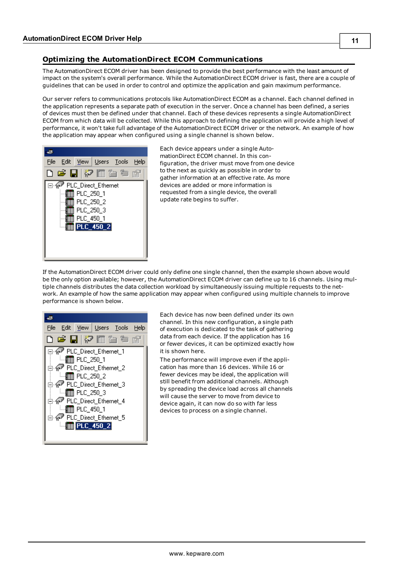### <span id="page-10-0"></span>**Optimizing the AutomationDirect ECOM Communications**

The AutomationDirect ECOM driver has been designed to provide the best performance with the least amount of impact on the system's overall performance. While the AutomationDirect ECOM driver is fast, there are a couple of guidelines that can be used in order to control and optimize the application and gain maximum performance.

Our server refers to communications protocols like AutomationDirect ECOM as a channel. Each channel defined in the application represents a separate path of execution in the server. Once a channel has been defined, a series of devices must then be defined under that channel. Each of these devices represents a single AutomationDirect ECOM from which data will be collected. While this approach to defining the application will provide a high level of performance, it won't take full advantage of the AutomationDirect ECOM driver or the network. An example of how the application may appear when configured using a single channel is shown below.



Each device appears under a single AutomationDirect ECOM channel. In this configuration, the driver must move from one device to the next as quickly as possible in order to gather information at an effective rate. As more devices are added or more information is requested from a single device, the overall update rate begins to suffer.

If the AutomationDirect ECOM driver could only define one single channel, then the example shown above would be the only option available; however, the AutomationDirect ECOM driver can define up to 16 channels. Using multiple channels distributes the data collection workload by simultaneously issuing multiple requests to the network. An example of how the same application may appear when configured using multiple channels to improve performance is shown below.



Each device has now been defined under its own channel. In this new configuration, a single path of execution is dedicated to the task of gathering data from each device. If the application has 16 or fewer devices, it can be optimized exactly how it is shown here.

The performance will improve even if the application has more than 16 devices. While 16 or fewer devices may be ideal, the application will still benefit from additional channels. Although by spreading the device load across all channels will cause the server to move from device to device again, it can now do so with far less devices to process on a single channel.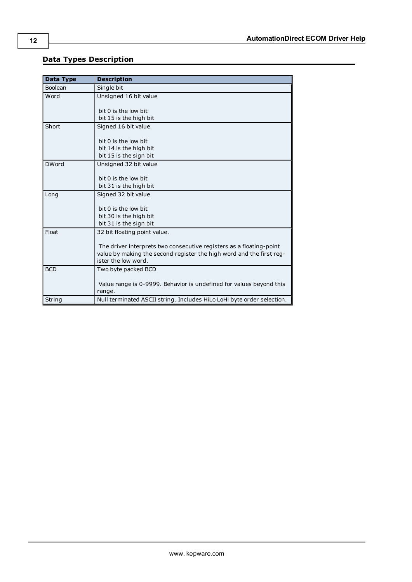### <span id="page-11-0"></span>**Data Types Description**

<span id="page-11-7"></span><span id="page-11-6"></span><span id="page-11-5"></span><span id="page-11-4"></span><span id="page-11-3"></span><span id="page-11-2"></span><span id="page-11-1"></span>

| Data Type      | <b>Description</b>                                                     |
|----------------|------------------------------------------------------------------------|
| <b>Boolean</b> | Single bit                                                             |
| Word           | Unsigned 16 bit value                                                  |
|                | bit 0 is the low bit                                                   |
|                | bit 15 is the high bit                                                 |
|                |                                                                        |
| Short          | Signed 16 bit value                                                    |
|                | bit 0 is the low bit                                                   |
|                | bit 14 is the high bit                                                 |
|                | bit 15 is the sign bit                                                 |
| <b>DWord</b>   | Unsigned 32 bit value                                                  |
|                |                                                                        |
|                | bit 0 is the low bit                                                   |
|                | bit 31 is the high bit                                                 |
| Long           | Signed 32 bit value                                                    |
|                |                                                                        |
|                | bit 0 is the low bit                                                   |
|                | bit 30 is the high bit                                                 |
|                | bit 31 is the sign bit                                                 |
| Float          | 32 bit floating point value.                                           |
|                |                                                                        |
|                | The driver interprets two consecutive registers as a floating-point    |
|                | value by making the second register the high word and the first reg-   |
|                | ister the low word.                                                    |
| <b>BCD</b>     | Two byte packed BCD                                                    |
|                |                                                                        |
|                | Value range is 0-9999. Behavior is undefined for values beyond this    |
|                | range.                                                                 |
| String         | Null terminated ASCII string. Includes HiLo LoHi byte order selection. |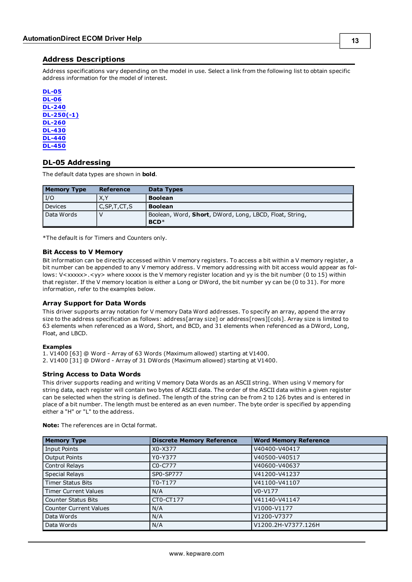#### <span id="page-12-0"></span>**Address Descriptions**

Address specifications vary depending on the model in use. Select a link from the following list to obtain specific address information for the model of interest.

**[DL-05](#page-12-1) [DL-06](#page-13-0) [DL-240](#page-14-0) [DL-250\(-1\)](#page-15-0) [DL-260](#page-16-0) [DL-430](#page-18-0) [DL-440](#page-19-0) [DL-450](#page-20-0)**

#### <span id="page-12-1"></span>**DL-05 Addressing**

The default data types are shown in **bold**.

| <b>Memory Type</b> | Reference       | Data Types                                                        |
|--------------------|-----------------|-------------------------------------------------------------------|
| I/O                | X.Y             | <b>Boolean</b>                                                    |
| <b>Devices</b>     | C, SP, T, CT, S | <b>Boolean</b>                                                    |
| Data Words         |                 | Boolean, Word, Short, DWord, Long, LBCD, Float, String,<br>$BCD*$ |

\*The default is for Timers and Counters only.

#### **Bit Access to V Memory**

Bit information can be directly accessed within V memory registers. To access a bit within a V memory register, a bit number can be appended to any V memory address. V memory addressing with bit access would appear as follows: V<xxxxx>.<yy> where xxxxx is the V memory register location and yy is the bit number (0 to 15) within that register. If the V memory location is either a Long or DWord, the bit number yy can be (0 to 31). For more information, refer to the examples below.

#### **Array Support for Data Words**

This driver supports array notation for V memory Data Word addresses. To specify an array, append the array size to the address specification as follows: address[array size] or address[rows][cols]. Array size is limited to 63 elements when referenced as a Word, Short, and BCD, and 31 elements when referenced as a DWord, Long, Float, and LBCD.

#### **Examples**

1. V1400 [63] @ Word - Array of 63 Words (Maximum allowed) starting at V1400.

2. V1400 [31] @ DWord - Array of 31 DWords (Maximum allowed) starting at V1400.

#### **String Access to Data Words**

This driver supports reading and writing V memory Data Words as an ASCII string. When using V memory for string data, each register will contain two bytes of ASCII data. The order of the ASCII data within a given register can be selected when the string is defined. The length of the string can be from 2 to 126 bytes and is entered in place of a bit number. The length must be entered as an even number. The byte order is specified by appending either a "H" or "L" to the address.

| <b>Memory Type</b>            | <b>Discrete Memory Reference</b> | <b>Word Memory Reference</b> |
|-------------------------------|----------------------------------|------------------------------|
| <b>Input Points</b>           | X0-X377                          | V40400-V40417                |
| <b>Output Points</b>          | Y0-Y377                          | V40500-V40517                |
| Control Relays                | C <sub>0</sub> -C <sub>777</sub> | V40600-V40637                |
| <b>Special Relays</b>         | SP0-SP777                        | V41200-V41237                |
| <b>Timer Status Bits</b>      | T0-T177                          | V41100-V41107                |
| <b>Timer Current Values</b>   | N/A                              | $V0-V177$                    |
| <b>Counter Status Bits</b>    | CT0-CT177                        | V41140-V41147                |
| <b>Counter Current Values</b> | N/A                              | V1000-V1177                  |
| Data Words                    | N/A                              | V1200-V7377                  |
| Data Words                    | N/A                              | V1200.2H-V7377.126H          |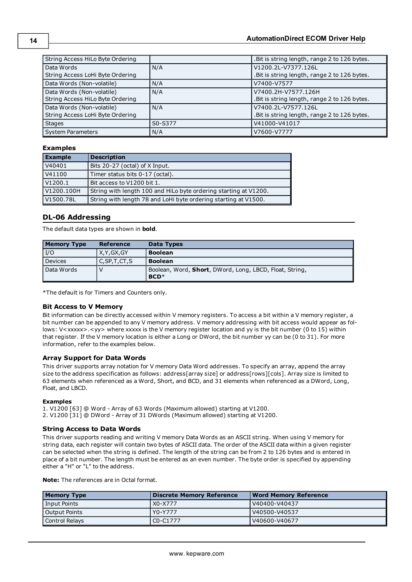#### **AutomationDirect ECOM Driver Help**

| String Access HiLo Byte Ordering |         | .Bit is string length, range 2 to 126 bytes.  |
|----------------------------------|---------|-----------------------------------------------|
| Data Words                       | N/A     | V1200.2L-V7377.126L                           |
| String Access LoHi Byte Ordering |         | .Bit is string length, range 2 to 126 bytes.  |
| Data Words (Non-volatile)        | N/A     | V7400-V7577                                   |
| Data Words (Non-volatile)        | N/A     | V7400.2H-V7577.126H                           |
| String Access HiLo Byte Ordering |         | . Bit is string length, range 2 to 126 bytes. |
| Data Words (Non-volatile)        | N/A     | V7400.2L-V7577.126L                           |
| String Access LoHi Byte Ordering |         | .Bit is string length, range 2 to 126 bytes.  |
| <b>Stages</b>                    | S0-S377 | V41000-V41017                                 |
| System Parameters                | N/A     | V7600-V7777                                   |

#### **Examples**

| <b>Example</b> | <b>Description</b>                                               |
|----------------|------------------------------------------------------------------|
| V40401         | Bits 20-27 (octal) of X Input.                                   |
| V41100         | Timer status bits 0-17 (octal).                                  |
| V1200.1        | Bit access to V1200 bit 1.                                       |
| V1200.100H     | String with length 100 and HiLo byte ordering starting at V1200. |
| V1500.78L      | String with length 78 and LoHi byte ordering starting at V1500.  |

#### <span id="page-13-0"></span>**DL-06 Addressing**

The default data types are shown in **bold**.

| <b>Memory Type</b> | Reference       | Data Types                                              |
|--------------------|-----------------|---------------------------------------------------------|
| I/O                | X, Y, GX, GY    | <b>Boolean</b>                                          |
| <b>Devices</b>     | C, SP, T, CT, S | <b>Boolean</b>                                          |
| Data Words         |                 | Boolean, Word, Short, DWord, Long, LBCD, Float, String, |
|                    |                 | $BCD*$                                                  |

\*The default is for Timers and Counters only.

#### **Bit Access to V Memory**

Bit information can be directly accessed within V memory registers. To access a bit within a V memory register, a bit number can be appended to any V memory address. V memory addressing with bit access would appear as follows: V<xxxxx>.<yy> where xxxxx is the V memory register location and yy is the bit number (0 to 15) within that register. If the V memory location is either a Long or DWord, the bit number yy can be (0 to 31). For more information, refer to the examples below.

#### **Array Support for Data Words**

This driver supports array notation for V memory Data Word addresses. To specify an array, append the array size to the address specification as follows: address[array size] or address[rows][cols]. Array size is limited to 63 elements when referenced as a Word, Short, and BCD, and 31 elements when referenced as a DWord, Long, Float, and LBCD.

#### **Examples**

1. V1200 [63] @ Word - Array of 63 Words (Maximum allowed) starting at V1200. 2. V1200 [31] @ DWord - Array of 31 DWords (Maximum allowed) starting at V1200.

#### **String Access to Data Words**

This driver supports reading and writing V memory Data Words as an ASCII string. When using V memory for string data, each register will contain two bytes of ASCII data. The order of the ASCII data within a given register can be selected when the string is defined. The length of the string can be from 2 to 126 bytes and is entered in place of a bit number. The length must be entered as an even number. The byte order is specified by appending either a "H" or "L" to the address.

| <b>Memory Type</b> | <b>Discrete Memory Reference</b> | Word Memory Reference |
|--------------------|----------------------------------|-----------------------|
| Input Points       | l X0-X777                        | V40400-V40437         |
| Output Points      | Y0-Y777                          | V40500-V40537         |
| Control Relays     | I C0-C1777                       | V40600-V40677         |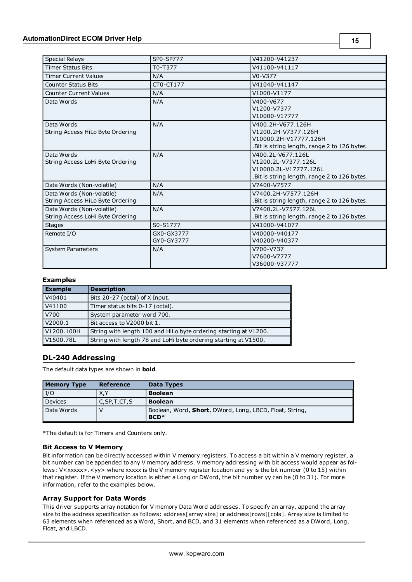| <b>Special Relays</b>            | SP0-SP777  | V41200-V41237                                 |
|----------------------------------|------------|-----------------------------------------------|
| <b>Timer Status Bits</b>         | T0-T377    | V41100-V41117                                 |
| <b>Timer Current Values</b>      | N/A        | $V0-V377$                                     |
| <b>Counter Status Bits</b>       | CT0-CT177  | V41040-V41147                                 |
| <b>Counter Current Values</b>    | N/A        | V1000-V1177                                   |
| Data Words                       | N/A        | V400-V677                                     |
|                                  |            | V1200-V7377                                   |
|                                  |            | V10000-V17777                                 |
| Data Words                       | N/A        | V400.2H-V677.126H                             |
| String Access HiLo Byte Ordering |            | V1200.2H-V7377.126H                           |
|                                  |            | V10000.2H-V17777.126H                         |
|                                  |            | .Bit is string length, range 2 to 126 bytes.  |
| Data Words                       | N/A        | V400.2L-V677.126L                             |
| String Access LoHi Byte Ordering |            | V1200.2L-V7377.126L                           |
|                                  |            | V10000.2L-V17777.126L                         |
|                                  |            | .Bit is string length, range 2 to 126 bytes.  |
| Data Words (Non-volatile)        | N/A        | V7400-V7577                                   |
| Data Words (Non-volatile)        | N/A        | V7400.2H-V7577.126H                           |
| String Access HiLo Byte Ordering |            | Bit is string length, range 2 to 126 bytes.   |
| Data Words (Non-volatile)        | N/A        | V7400.2L-V7577.126L                           |
| String Access LoHi Byte Ordering |            | . Bit is string length, range 2 to 126 bytes. |
| <b>Stages</b>                    | S0-S1777   | V41000-V41077                                 |
| Remote I/O                       | GX0-GX3777 | V40000-V40177                                 |
|                                  | GY0-GY3777 | V40200-V40377                                 |
| <b>System Parameters</b>         | N/A        | V700-V737                                     |
|                                  |            | V7600-V7777                                   |
|                                  |            | V36000-V37777                                 |

#### **Examples**

| <b>Example</b> | <b>Description</b>                                               |
|----------------|------------------------------------------------------------------|
| V40401         | Bits 20-27 (octal) of X Input.                                   |
| V41100         | Timer status bits 0-17 (octal).                                  |
| V700           | System parameter word 700.                                       |
| V2000.1        | Bit access to V2000 bit 1.                                       |
| V1200.100H     | String with length 100 and HiLo byte ordering starting at V1200. |
| V1500.78L      | String with length 78 and LoHi byte ordering starting at V1500.  |

#### <span id="page-14-0"></span>**DL-240 Addressing**

The default data types are shown in **bold**.

| <b>Memory Type</b> | Reference       | Data Types                                                        |
|--------------------|-----------------|-------------------------------------------------------------------|
| I/O                | X,Y             | <b>Boolean</b>                                                    |
| <b>Devices</b>     | C, SP, T, CT, S | <b>Boolean</b>                                                    |
| Data Words         |                 | Boolean, Word, Short, DWord, Long, LBCD, Float, String,<br>$BCD*$ |

\*The default is for Timers and Counters only.

#### **Bit Access to V Memory**

Bit information can be directly accessed within V memory registers. To access a bit within a V memory register, a bit number can be appended to any V memory address. V memory addressing with bit access would appear as follows: V<xxxxx>.<yy> where xxxxx is the V memory register location and yy is the bit number (0 to 15) within that register. If the V memory location is either a Long or DWord, the bit number yy can be (0 to 31). For more information, refer to the examples below.

#### **Array Support for Data Words**

This driver supports array notation for V memory Data Word addresses. To specify an array, append the array size to the address specification as follows: address[array size] or address[rows][cols]. Array size is limited to 63 elements when referenced as a Word, Short, and BCD, and 31 elements when referenced as a DWord, Long, Float, and LBCD.

**15**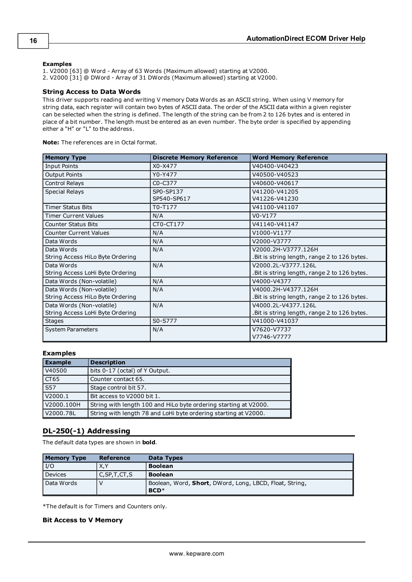#### **Examples**

1. V2000 [63] @ Word - Array of 63 Words (Maximum allowed) starting at V2000.

2. V2000 [31] @ DWord - Array of 31 DWords (Maximum allowed) starting at V2000.

#### **String Access to Data Words**

This driver supports reading and writing V memory Data Words as an ASCII string. When using V memory for string data, each register will contain two bytes of ASCII data. The order of the ASCII data within a given register can be selected when the string is defined. The length of the string can be from 2 to 126 bytes and is entered in place of a bit number. The length must be entered as an even number. The byte order is specified by appending either a "H" or "L" to the address.

**Note:** The references are in Octal format.

| <b>Memory Type</b>               | <b>Discrete Memory Reference</b> | <b>Word Memory Reference</b>                  |
|----------------------------------|----------------------------------|-----------------------------------------------|
| <b>Input Points</b>              | $X0 - X477$                      | V40400-V40423                                 |
| <b>Output Points</b>             | Y0-Y477                          | V40500-V40523                                 |
| Control Relays                   | C <sub>0</sub> -C <sub>377</sub> | V40600-V40617                                 |
| <b>Special Relays</b>            | SP0-SP137                        | V41200-V41205                                 |
|                                  | SP540-SP617                      | V41226-V41230                                 |
| <b>Timer Status Bits</b>         | T0-T177                          | V41100-V41107                                 |
| <b>Timer Current Values</b>      | N/A                              | $V0-V177$                                     |
| <b>Counter Status Bits</b>       | CT0-CT177                        | V41140-V41147                                 |
| <b>Counter Current Values</b>    | N/A                              | V1000-V1177                                   |
| Data Words                       | N/A                              | V2000-V3777                                   |
| Data Words                       | N/A                              | V2000.2H-V3777.126H                           |
| String Access HiLo Byte Ordering |                                  | . Bit is string length, range 2 to 126 bytes. |
| Data Words                       | N/A                              | V2000.2L-V3777.126L                           |
| String Access LoHi Byte Ordering |                                  | . Bit is string length, range 2 to 126 bytes. |
| Data Words (Non-volatile)        | N/A                              | V4000-V4377                                   |
| Data Words (Non-volatile)        | N/A                              | V4000.2H-V4377.126H                           |
| String Access HiLo Byte Ordering |                                  | . Bit is string length, range 2 to 126 bytes. |
| Data Words (Non-volatile)        | N/A                              | V4000.2L-V4377.126L                           |
| String Access LoHi Byte Ordering |                                  | . Bit is string length, range 2 to 126 bytes. |
| <b>Stages</b>                    | S0-S777                          | V41000-V41037                                 |
| <b>System Parameters</b>         | N/A                              | V7620-V7737                                   |
|                                  |                                  | V7746-V7777                                   |

#### **Examples**

| <b>Example</b>   | <b>Description</b>                                               |
|------------------|------------------------------------------------------------------|
| V40500           | bits 0-17 (octal) of Y Output.                                   |
| CT <sub>65</sub> | Counter contact 65.                                              |
| S57              | Stage control bit 57.                                            |
| V2000.1          | Bit access to V2000 bit 1.                                       |
| V2000.100H       | String with length 100 and HiLo byte ordering starting at V2000. |
| V2000.78L        | String with length 78 and LoHi byte ordering starting at V2000.  |

#### <span id="page-15-0"></span>**DL-250(-1) Addressing**

The default data types are shown in **bold**.

| <b>Memory Type</b> | Reference       | Data Types                                                        |
|--------------------|-----------------|-------------------------------------------------------------------|
| I/O                | X.Y             | <b>Boolean</b>                                                    |
| <b>Devices</b>     | C, SP, T, CT, S | <b>Boolean</b>                                                    |
| Data Words         |                 | Boolean, Word, Short, DWord, Long, LBCD, Float, String,<br>$BCD*$ |

\*The default is for Timers and Counters only.

#### **Bit Access to V Memory**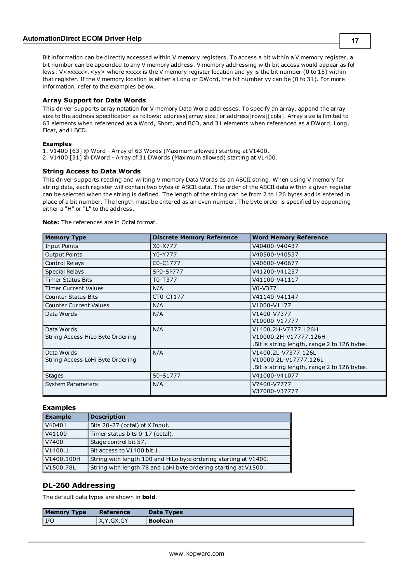Bit information can be directly accessed within V memory registers. To access a bit within a V memory register, a bit number can be appended to any V memory address. V memory addressing with bit access would appear as follows: V<xxxxx>.<yy> where xxxxx is the V memory register location and yy is the bit number (0 to 15) within that register. If the V memory location is either a Long or DWord, the bit number yy can be (0 to 31). For more information, refer to the examples below.

#### **Array Support for Data Words**

This driver supports array notation for V memory Data Word addresses. To specify an array, append the array size to the address specification as follows: address[array size] or address[rows][cols]. Array size is limited to 63 elements when referenced as a Word, Short, and BCD, and 31 elements when referenced as a DWord, Long, Float, and LBCD.

#### **Examples**

1. V1400 [63] @ Word - Array of 63 Words (Maximum allowed) starting at V1400. 2. V1400 [31] @ DWord - Array of 31 DWords (Maximum allowed) starting at V1400.

#### **String Access to Data Words**

This driver supports reading and writing V memory Data Words as an ASCII string. When using V memory for string data, each register will contain two bytes of ASCII data. The order of the ASCII data within a given register can be selected when the string is defined. The length of the string can be from 2 to 126 bytes and is entered in place of a bit number. The length must be entered as an even number. The byte order is specified by appending either a "H" or "L" to the address.

**Note:** The references are in Octal format.

| <b>Memory Type</b>               | <b>Discrete Memory Reference</b> | <b>Word Memory Reference</b>                  |
|----------------------------------|----------------------------------|-----------------------------------------------|
| <b>Input Points</b>              | X0-X777                          | V40400-V40437                                 |
| <b>Output Points</b>             | Y0-Y777                          | V40500-V40537                                 |
| Control Relays                   | C0-C1777                         | V40600-V40677                                 |
| <b>Special Relays</b>            | SP0-SP777                        | V41200-V41237                                 |
| <b>Timer Status Bits</b>         | T0-T377                          | V41100-V41117                                 |
| <b>Timer Current Values</b>      | N/A                              | $V0-V377$                                     |
| <b>Counter Status Bits</b>       | CT0-CT177                        | V41140-V41147                                 |
| <b>Counter Current Values</b>    | N/A                              | V1000-V1177                                   |
| Data Words                       | N/A                              | V1400-V7377                                   |
|                                  |                                  | V10000-V17777                                 |
| Data Words                       | N/A                              | V1400.2H-V7377.126H                           |
| String Access HiLo Byte Ordering |                                  | V10000.2H-V17777.126H                         |
|                                  |                                  | . Bit is string length, range 2 to 126 bytes. |
| Data Words                       | N/A                              | V1400.2L-V7377.126L                           |
| String Access LoHi Byte Ordering |                                  | V10000.2L-V17777.126L                         |
|                                  |                                  | . Bit is string length, range 2 to 126 bytes. |
| <b>Stages</b>                    | S0-S1777                         | V41000-V41077                                 |
| <b>System Parameters</b>         | N/A                              | V7400-V7777                                   |
|                                  |                                  | V37000-V37777                                 |

#### **Examples**

| <b>Example</b> | <b>Description</b>                                               |
|----------------|------------------------------------------------------------------|
| V40401         | Bits 20-27 (octal) of X Input.                                   |
| V41100         | Timer status bits 0-17 (octal).                                  |
| V7400          | Stage control bit 57.                                            |
| V1400.1        | Bit access to V1400 bit 1.                                       |
| V1400.100H     | String with length 100 and HiLo byte ordering starting at V1400. |
| V1500.78L      | String with length 78 and LoHi byte ordering starting at V1500.  |

#### <span id="page-16-0"></span>**DL-260 Addressing**

The default data types are shown in **bold**.

| <b>Memory Type</b> | Reference    | Data Types     |
|--------------------|--------------|----------------|
| I/C                | X, Y, GX, GY | <b>Boolean</b> |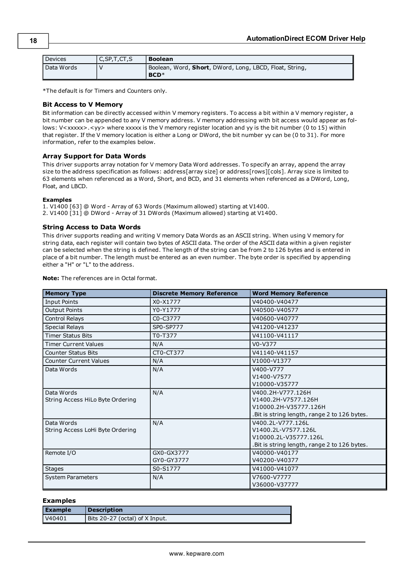| Devices    | C, SP, T, CT, S | <b>Boolean</b>                                                    |
|------------|-----------------|-------------------------------------------------------------------|
| Data Words |                 | Boolean, Word, Short, DWord, Long, LBCD, Float, String,<br>$BCD*$ |

\*The default is for Timers and Counters only.

#### **Bit Access to V Memory**

Bit information can be directly accessed within V memory registers. To access a bit within a V memory register, a bit number can be appended to any V memory address. V memory addressing with bit access would appear as follows: V<xxxxx>.<yy> where xxxxx is the V memory register location and yy is the bit number (0 to 15) within that register. If the V memory location is either a Long or DWord, the bit number yy can be (0 to 31). For more information, refer to the examples below.

#### **Array Support for Data Words**

This driver supports array notation for V memory Data Word addresses. To specify an array, append the array size to the address specification as follows: address[array size] or address[rows][cols]. Array size is limited to 63 elements when referenced as a Word, Short, and BCD, and 31 elements when referenced as a DWord, Long, Float, and LBCD.

#### **Examples**

1. V1400 [63] @ Word - Array of 63 Words (Maximum allowed) starting at V1400. 2. V1400 [31] @ DWord - Array of 31 DWords (Maximum allowed) starting at V1400.

#### **String Access to Data Words**

This driver supports reading and writing V memory Data Words as an ASCII string. When using V memory for string data, each register will contain two bytes of ASCII data. The order of the ASCII data within a given register can be selected when the string is defined. The length of the string can be from 2 to 126 bytes and is entered in place of a bit number. The length must be entered as an even number. The byte order is specified by appending either a "H" or "L" to the address.

**Note:** The references are in Octal format.

| <b>Memory Type</b>               | <b>Discrete Memory Reference</b> | <b>Word Memory Reference</b>                  |
|----------------------------------|----------------------------------|-----------------------------------------------|
| <b>Input Points</b>              | X0-X1777                         | V40400-V40477                                 |
| <b>Output Points</b>             | Y0-Y1777                         | V40500-V40577                                 |
| Control Relays                   | C0-C3777                         | V40600-V40777                                 |
| <b>Special Relays</b>            | SP0-SP777                        | V41200-V41237                                 |
| <b>Timer Status Bits</b>         | T0-T377                          | V41100-V41117                                 |
| <b>Timer Current Values</b>      | N/A                              | $V0-V377$                                     |
| <b>Counter Status Bits</b>       | CT0-CT377                        | V41140-V41157                                 |
| <b>Counter Current Values</b>    | N/A                              | V1000-V1377                                   |
| Data Words                       | N/A                              | V400-V777                                     |
|                                  |                                  | V1400-V7577                                   |
|                                  |                                  | V10000-V35777                                 |
| Data Words                       | N/A                              | V400.2H-V777.126H                             |
| String Access HiLo Byte Ordering |                                  | V1400.2H-V7577.126H                           |
|                                  |                                  | V10000.2H-V35777.126H                         |
|                                  |                                  | .Bit is string length, range 2 to 126 bytes.  |
| Data Words                       | N/A                              | V400.2L-V777.126L                             |
| String Access LoHi Byte Ordering |                                  | V1400.2L-V7577.126L                           |
|                                  |                                  | V10000.2L-V35777.126L                         |
|                                  |                                  | . Bit is string length, range 2 to 126 bytes. |
| Remote I/O                       | GX0-GX3777                       | V40000-V40177                                 |
|                                  | GY0-GY3777                       | V40200-V40377                                 |
| <b>Stages</b>                    | S0-S1777                         | V41000-V41077                                 |
| <b>System Parameters</b>         | N/A                              | V7600-V7777                                   |
|                                  |                                  | V36000-V37777                                 |

#### **Examples**

| <b>Example</b> | <b>Description</b>             |
|----------------|--------------------------------|
| V40401         | Bits 20-27 (octal) of X Input. |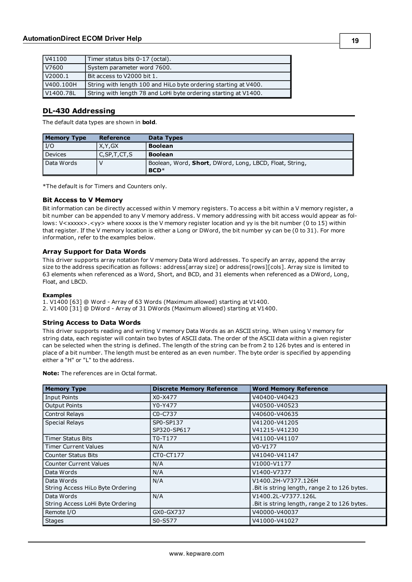| V41100    | Timer status bits 0-17 (octal).                                 |
|-----------|-----------------------------------------------------------------|
| V7600     | System parameter word 7600.                                     |
| V2000.1   | l Bit access to V2000 bit 1.                                    |
| V400.100H | String with length 100 and HiLo byte ordering starting at V400. |
| V1400.78L | String with length 78 and LoHi byte ordering starting at V1400. |

#### <span id="page-18-0"></span>**DL-430 Addressing**

The default data types are shown in **bold**.

| <b>Memory Type</b> | Reference       | Data Types                                                                |
|--------------------|-----------------|---------------------------------------------------------------------------|
| I/O                | X, Y, GX        | <b>Boolean</b>                                                            |
| <b>Devices</b>     | C, SP, T, CT, S | <b>Boolean</b>                                                            |
| Data Words         |                 | Boolean, Word, <b>Short</b> , DWord, Long, LBCD, Float, String,<br>$BCD*$ |

\*The default is for Timers and Counters only.

#### **Bit Access to V Memory**

Bit information can be directly accessed within V memory registers. To access a bit within a V memory register, a bit number can be appended to any V memory address. V memory addressing with bit access would appear as follows: V<xxxxx>.<yy> where xxxxx is the V memory register location and yy is the bit number (0 to 15) within that register. If the V memory location is either a Long or DWord, the bit number yy can be (0 to 31). For more information, refer to the examples below.

#### **Array Support for Data Words**

This driver supports array notation for V memory Data Word addresses. To specify an array, append the array size to the address specification as follows: address[array size] or address[rows][cols]. Array size is limited to 63 elements when referenced as a Word, Short, and BCD, and 31 elements when referenced as a DWord, Long, Float, and LBCD.

#### **Examples**

1. V1400 [63] @ Word - Array of 63 Words (Maximum allowed) starting at V1400. 2. V1400 [31] @ DWord - Array of 31 DWords (Maximum allowed) starting at V1400.

#### **String Access to Data Words**

This driver supports reading and writing V memory Data Words as an ASCII string. When using V memory for string data, each register will contain two bytes of ASCII data. The order of the ASCII data within a given register can be selected when the string is defined. The length of the string can be from 2 to 126 bytes and is entered in place of a bit number. The length must be entered as an even number. The byte order is specified by appending either a "H" or "L" to the address.

| <b>Memory Type</b>               | <b>Discrete Memory Reference</b> | <b>Word Memory Reference</b>                  |
|----------------------------------|----------------------------------|-----------------------------------------------|
| Input Points                     | X0-X477                          | V40400-V40423                                 |
| <b>Output Points</b>             | Y0-Y477                          | V40500-V40523                                 |
| Control Relays                   | C0-C737                          | V40600-V40635                                 |
| <b>Special Relays</b>            | SP0-SP137                        | V41200-V41205                                 |
|                                  | SP320-SP617                      | V41215-V41230                                 |
| <b>Timer Status Bits</b>         | T0-T177                          | V41100-V41107                                 |
| <b>Timer Current Values</b>      | N/A                              | $V0-V177$                                     |
| <b>Counter Status Bits</b>       | CT0-CT177                        | V41040-V41147                                 |
| <b>Counter Current Values</b>    | N/A                              | V1000-V1177                                   |
| Data Words                       | N/A                              | V1400-V7377                                   |
| Data Words                       | N/A                              | V1400.2H-V7377.126H                           |
| String Access HiLo Byte Ordering |                                  | . Bit is string length, range 2 to 126 bytes. |
| Data Words                       | N/A                              | V1400.2L-V7377.126L                           |
| String Access LoHi Byte Ordering |                                  | . Bit is string length, range 2 to 126 bytes. |
| Remote I/O                       | GX0-GX737                        | V40000-V40037                                 |
| <b>Stages</b>                    | S0-S577                          | V41000-V41027                                 |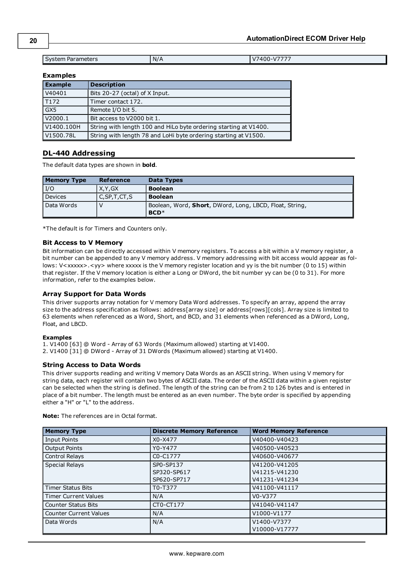System Parameters **N/A** N/A V7400-V7777

#### **Examples**

| <b>Example</b> | <b>Description</b>                                               |
|----------------|------------------------------------------------------------------|
| V40401         | Bits 20-27 (octal) of X Input.                                   |
| T172           | Timer contact 172.                                               |
| GX5            | Remote I/O bit 5.                                                |
| V2000.1        | Bit access to V2000 bit 1.                                       |
| V1400.100H     | String with length 100 and HiLo byte ordering starting at V1400. |
| V1500.78L      | String with length 78 and LoHi byte ordering starting at V1500.  |

#### <span id="page-19-0"></span>**DL-440 Addressing**

The default data types are shown in **bold**.

| <b>Memory Type</b> | <b>Reference</b> | Data Types                                                        |
|--------------------|------------------|-------------------------------------------------------------------|
| I/O                | X.Y.GX           | <b>Boolean</b>                                                    |
| Devices            | C, SP, T, CT, S  | <b>Boolean</b>                                                    |
| Data Words         |                  | Boolean, Word, Short, DWord, Long, LBCD, Float, String,<br>$BCD*$ |

\*The default is for Timers and Counters only.

#### **Bit Access to V Memory**

Bit information can be directly accessed within V memory registers. To access a bit within a V memory register, a bit number can be appended to any V memory address. V memory addressing with bit access would appear as follows: V<xxxxx>.<yy> where xxxxx is the V memory register location and yy is the bit number (0 to 15) within that register. If the V memory location is either a Long or DWord, the bit number yy can be (0 to 31). For more information, refer to the examples below.

#### **Array Support for Data Words**

This driver supports array notation for V memory Data Word addresses. To specify an array, append the array size to the address specification as follows: address[array size] or address[rows][cols]. Array size is limited to 63 elements when referenced as a Word, Short, and BCD, and 31 elements when referenced as a DWord, Long, Float, and LBCD.

#### **Examples**

1. V1400 [63] @ Word - Array of 63 Words (Maximum allowed) starting at V1400.

2. V1400 [31] @ DWord - Array of 31 DWords (Maximum allowed) starting at V1400.

#### **String Access to Data Words**

This driver supports reading and writing V memory Data Words as an ASCII string. When using V memory for string data, each register will contain two bytes of ASCII data. The order of the ASCII data within a given register can be selected when the string is defined. The length of the string can be from 2 to 126 bytes and is entered in place of a bit number. The length must be entered as an even number. The byte order is specified by appending either a "H" or "L" to the address.

| <b>Memory Type</b>            | <b>Discrete Memory Reference</b> | <b>Word Memory Reference</b> |
|-------------------------------|----------------------------------|------------------------------|
| <b>Input Points</b>           | X0-X477                          | V40400-V40423                |
| <b>Output Points</b>          | Y0-Y477                          | V40500-V40523                |
| Control Relays                | C0-C1777                         | V40600-V40677                |
| <b>Special Relays</b>         | SP0-SP137                        | V41200-V41205                |
|                               | SP320-SP617                      | V41215-V41230                |
|                               | SP620-SP717                      | V41231-V41234                |
| <b>Timer Status Bits</b>      | T0-T377                          | V41100-V41117                |
| <b>Timer Current Values</b>   | N/A                              | V0-V377                      |
| <b>Counter Status Bits</b>    | CT0-CT177                        | V41040-V41147                |
| <b>Counter Current Values</b> | N/A                              | V1000-V1177                  |
| Data Words                    | N/A                              | V1400-V7377                  |
|                               |                                  | V10000-V17777                |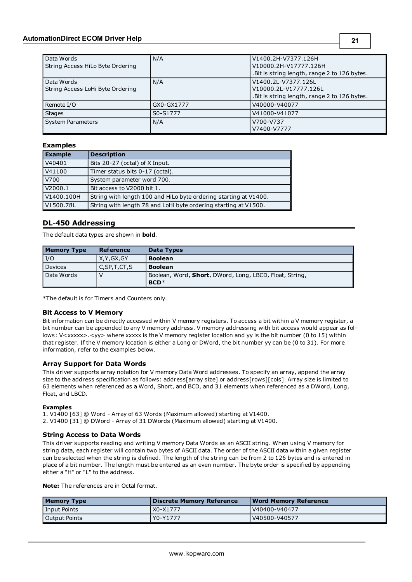| Data Words                       | N/A        | V1400.2H-V7377.126H                           |
|----------------------------------|------------|-----------------------------------------------|
| String Access HiLo Byte Ordering |            | V10000.2H-V17777.126H                         |
|                                  |            | . Bit is string length, range 2 to 126 bytes. |
| Data Words                       | N/A        | V1400.2L-V7377.126L                           |
| String Access LoHi Byte Ordering |            | V10000.2L-V17777.126L                         |
|                                  |            | . Bit is string length, range 2 to 126 bytes. |
| Remote I/O                       | GX0-GX1777 | V40000-V40077                                 |
| <b>Stages</b>                    | S0-S1777   | V41000-V41077                                 |
| <b>System Parameters</b>         | N/A        | V700-V737                                     |
|                                  |            | V7400-V7777                                   |

#### **Examples**

| <b>Example</b> | <b>Description</b>                                               |
|----------------|------------------------------------------------------------------|
| V40401         | Bits 20-27 (octal) of X Input.                                   |
| V41100         | Timer status bits 0-17 (octal).                                  |
| V700           | System parameter word 700.                                       |
| V2000.1        | Bit access to V2000 bit 1.                                       |
| V1400.100H     | String with length 100 and HiLo byte ordering starting at V1400. |
| V1500.78L      | String with length 78 and LoHi byte ordering starting at V1500.  |

#### <span id="page-20-0"></span>**DL-450 Addressing**

The default data types are shown in **bold**.

| <b>Memory Type</b> | Reference       | <b>Data Types</b>                                                         |
|--------------------|-----------------|---------------------------------------------------------------------------|
| I/O                | X.Y.GX.GY       | <b>Boolean</b>                                                            |
| Devices            | C, SP, T, CT, S | <b>Boolean</b>                                                            |
| Data Words         |                 | Boolean, Word, <b>Short</b> , DWord, Long, LBCD, Float, String,<br>$BCD*$ |

\*The default is for Timers and Counters only.

#### **Bit Access to V Memory**

Bit information can be directly accessed within V memory registers. To access a bit within a V memory register, a bit number can be appended to any V memory address. V memory addressing with bit access would appear as follows: V<xxxxx>.<yy> where xxxxx is the V memory register location and yy is the bit number (0 to 15) within that register. If the V memory location is either a Long or DWord, the bit number yy can be (0 to 31). For more information, refer to the examples below.

#### **Array Support for Data Words**

This driver supports array notation for V memory Data Word addresses. To specify an array, append the array size to the address specification as follows: address[array size] or address[rows][cols]. Array size is limited to 63 elements when referenced as a Word, Short, and BCD, and 31 elements when referenced as a DWord, Long, Float, and LBCD.

#### **Examples**

1. V1400 [63] @ Word - Array of 63 Words (Maximum allowed) starting at V1400.

2. V1400 [31] @ DWord - Array of 31 DWords (Maximum allowed) starting at V1400.

#### **String Access to Data Words**

This driver supports reading and writing V memory Data Words as an ASCII string. When using V memory for string data, each register will contain two bytes of ASCII data. The order of the ASCII data within a given register can be selected when the string is defined. The length of the string can be from 2 to 126 bytes and is entered in place of a bit number. The length must be entered as an even number. The byte order is specified by appending either a "H" or "L" to the address.

| <b>Memory Type</b> | Discrete Memory Reference | Word Memory Reference |
|--------------------|---------------------------|-----------------------|
| Input Points       | X0-X1777                  | V40400-V40477         |
| Output Points      | Y0-Y1777                  | V40500-V40577         |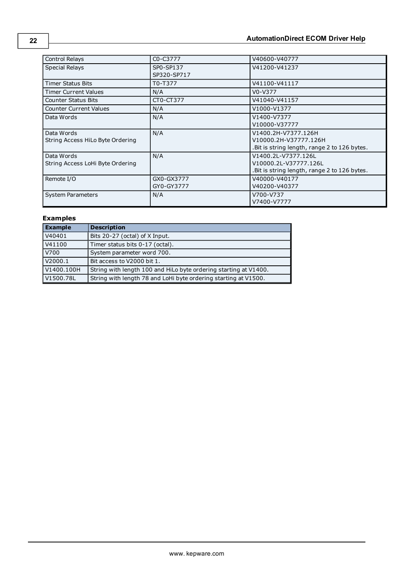| Control Relays                                 | C0-C3777                 | V40600-V40777                                                                                 |
|------------------------------------------------|--------------------------|-----------------------------------------------------------------------------------------------|
| <b>Special Relays</b>                          | SP0-SP137<br>SP320-SP717 | V41200-V41237                                                                                 |
| <b>Timer Status Bits</b>                       | T0-T377                  | V41100-V41117                                                                                 |
| <b>Timer Current Values</b>                    | N/A                      | V0-V377                                                                                       |
| <b>Counter Status Bits</b>                     | CT0-CT377                | V41040-V41157                                                                                 |
| <b>Counter Current Values</b>                  | N/A                      | V1000-V1377                                                                                   |
| Data Words                                     | N/A                      | V1400-V7377<br>V10000-V37777                                                                  |
| Data Words<br>String Access HiLo Byte Ordering | N/A                      | V1400.2H-V7377.126H<br>V10000.2H-V37777.126H<br>. Bit is string length, range 2 to 126 bytes. |
| Data Words<br>String Access LoHi Byte Ordering | N/A                      | V1400.2L-V7377.126L<br>V10000.2L-V37777.126L<br>. Bit is string length, range 2 to 126 bytes. |
| Remote I/O                                     | GX0-GX3777<br>GY0-GY3777 | V40000-V40177<br>V40200-V40377                                                                |
| <b>System Parameters</b>                       | N/A                      | V700-V737<br>V7400-V7777                                                                      |

### **Examples**

| Example    | <b>Description</b>                                               |
|------------|------------------------------------------------------------------|
| V40401     | Bits 20-27 (octal) of X Input.                                   |
| V41100     | Timer status bits 0-17 (octal).                                  |
| V700       | System parameter word 700.                                       |
| V2000.1    | Bit access to V2000 bit 1.                                       |
| V1400.100H | String with length 100 and HiLo byte ordering starting at V1400. |
| V1500.78L  | String with length 78 and LoHi byte ordering starting at V1500.  |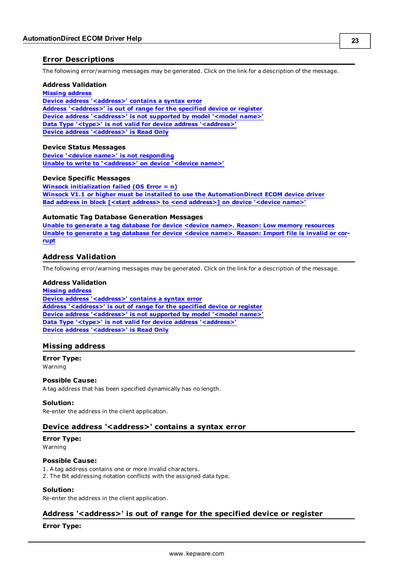#### <span id="page-22-0"></span>**Error Descriptions**

The following error/warning messages may be generated. Click on the link for a description of the message.

#### **Address Validation**

#### **[Missing](#page-22-2) [address](#page-22-2)**

**[Device](#page-22-3) [address](#page-22-3) ['<address>'](#page-22-3) [contains](#page-22-3) [a](#page-22-3) [syntax](#page-22-3) [error](#page-22-3) [Address](#page-22-4) ['<address>'](#page-22-4) [is](#page-22-4) [out](#page-22-4) [of](#page-22-4) [range](#page-22-4) [for](#page-22-4) [the](#page-22-4) [specified](#page-22-4) [device](#page-22-4) [or](#page-22-4) [register](#page-22-4) [Device](#page-23-0) [address](#page-23-0) ['<address>'](#page-23-0) [is](#page-23-0) [not](#page-23-0) [supported](#page-23-0) [by](#page-23-0) [model](#page-23-0) ['<model](#page-23-0) [name>'](#page-23-0) [Data](#page-23-1) [Type](#page-23-1) ['<type>'](#page-23-1) [is](#page-23-1) [not](#page-23-1) [valid](#page-23-1) [for](#page-23-1) [device](#page-23-1) [address](#page-23-1) ['<address>'](#page-23-1) [Device](#page-23-2) [address](#page-23-2) ['<address>'](#page-23-2) [is](#page-23-2) [Read](#page-23-2) [Only](#page-23-2)** 

#### **Device Status Messages**

**[Device](#page-23-4) ['<device](#page-23-4) [name>'](#page-23-4) [is](#page-23-4) [not](#page-23-4) [responding](#page-23-4) [Unable](#page-24-0) [to](#page-24-0) [write](#page-24-0) [to](#page-24-0) ['<address>'](#page-24-0) [on](#page-24-0) [device](#page-24-0) ['<device](#page-24-0) [name>'](#page-24-0)**

#### **Device Specific Messages**

**[Winsock](#page-24-2) [initialization](#page-24-2) [failed](#page-24-2) [\(OS](#page-24-2) [Error](#page-24-2) [=](#page-24-2) [n\)](#page-24-2) [Winsock](#page-24-3) [V1.1](#page-24-3) [or](#page-24-3) [higher](#page-24-3) [must](#page-24-3) [be](#page-24-3) [installed](#page-24-3) [to](#page-24-3) [use](#page-24-3) [the](#page-24-3) [AutomationDirect](#page-24-3) [ECOM](#page-24-3) [device](#page-24-3) [driver](#page-24-3) [Bad](#page-24-4) [address](#page-24-4) [in](#page-24-4) [block](#page-24-4) [\[<start](#page-24-4) [address>](#page-24-4) [to](#page-24-4) [<end](#page-24-4) [address>\]](#page-24-4) [on](#page-24-4) [device](#page-24-4) ['<device](#page-24-4) [name>'](#page-24-4)**

#### **Automatic Tag Database Generation Messages**

**[Unable](#page-25-1) [to](#page-25-1) [generate](#page-25-1) [a](#page-25-1) [tag](#page-25-1) [database](#page-25-1) [for](#page-25-1) [device](#page-25-1) [<device](#page-25-1) [name>.](#page-25-1) [Reason:](#page-25-1) [Low](#page-25-1) [memory](#page-25-1) [resources](#page-25-1) [Unable](#page-25-2) [to](#page-25-2) [generate](#page-25-2) [a](#page-25-2) [tag](#page-25-2) [database](#page-25-2) [for](#page-25-2) [device](#page-25-2) [<device](#page-25-2) [name>.](#page-25-2) [Reason:](#page-25-2) [Import](#page-25-2) [file](#page-25-2) [is](#page-25-2) [invalid](#page-25-2) [or](#page-25-2) [cor](#page-25-2)[rupt](#page-25-2)**

#### <span id="page-22-1"></span>**Address Validation**

The following error/warning messages may be generated. Click on the link for a description of the message.

#### **Address Validation**

**[Missing](#page-22-2) [address](#page-22-2) [Device](#page-22-3) [address](#page-22-3) ['<address>'](#page-22-3) [contains](#page-22-3) [a](#page-22-3) [syntax](#page-22-3) [error](#page-22-3) [Address](#page-22-4) ['<address>'](#page-22-4) [is](#page-22-4) [out](#page-22-4) [of](#page-22-4) [range](#page-22-4) [for](#page-22-4) [the](#page-22-4) [specified](#page-22-4) [device](#page-22-4) [or](#page-22-4) [register](#page-22-4) [Device](#page-23-0) [address](#page-23-0) ['<address>'](#page-23-0) [is](#page-23-0) [not](#page-23-0) [supported](#page-23-0) [by](#page-23-0) [model](#page-23-0) ['<model](#page-23-0) [name>'](#page-23-0) [Data](#page-23-1) [Type](#page-23-1) ['<type>'](#page-23-1) [is](#page-23-1) [not](#page-23-1) [valid](#page-23-1) [for](#page-23-1) [device](#page-23-1) [address](#page-23-1) ['<address>'](#page-23-1) [Device](#page-23-2) [address](#page-23-2) ['<address>'](#page-23-2) [is](#page-23-2) [Read](#page-23-2) [Only](#page-23-2)** 

#### <span id="page-22-2"></span>**Missing address**

#### **Error Type:**

Warning

#### **Possible Cause:**

A tag address that has been specified dynamically has no length.

#### **Solution:**

<span id="page-22-3"></span>Re-enter the address in the client application.

#### Device address '<address>' contains a syntax error

#### **Error Type:**

Warning

#### **Possible Cause:**

1. A tag address contains one or more invalid characters.

2. The Bit addressing notation conflicts with the assigned data type.

### **Solution:**

<span id="page-22-4"></span>Re-enter the address in the client application.

### **Address '<address>' is out of range for the specified device or register**

#### **Error Type:**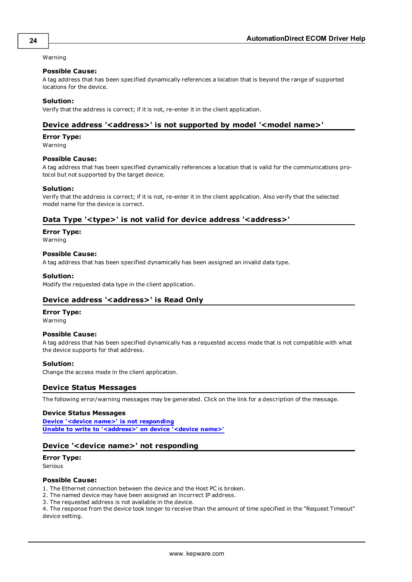#### Warning

#### **Possible Cause:**

A tag address that has been specified dynamically references a location that is beyond the range of supported locations for the device.

#### **Solution:**

<span id="page-23-0"></span>Verify that the address is correct; if it is not, re-enter it in the client application.

#### Device address '<address>' is not supported by model '<model name>'

#### **Error Type:**

Warning

#### **Possible Cause:**

A tag address that has been specified dynamically references a location that is valid for the communications protocol but not supported by the target device.

#### **Solution:**

Verify that the address is correct; if it is not, re-enter it in the client application. Also verify that the selected model name for the device is correct.

#### <span id="page-23-1"></span>Data Type '<type>' is not valid for device address '<address>'

**Error Type:**

Warning

#### **Possible Cause:**

A tag address that has been specified dynamically has been assigned an invalid data type.

#### **Solution:**

<span id="page-23-2"></span>Modify the requested data type in the client application.

#### **Device address '<address>' is Read Only**

#### **Error Type:**

Warning

#### **Possible Cause:**

A tag address that has been specified dynamically has a requested access mode that is not compatible with what the device supports for that address.

#### **Solution:**

<span id="page-23-3"></span>Change the access mode in the client application.

#### **Device Status Messages**

The following error/warning messages may be generated. Click on the link for a description of the message.

#### **Device Status Messages**

**[Device](#page-23-4) ['<device](#page-23-4) [name>'](#page-23-4) [is](#page-23-4) [not](#page-23-4) [responding](#page-23-4) [Unable](#page-24-0) [to](#page-24-0) [write](#page-24-0) [to](#page-24-0) ['<address>'](#page-24-0) [on](#page-24-0) [device](#page-24-0) ['<device](#page-24-0) [name>'](#page-24-0)**

#### <span id="page-23-4"></span>**Device '<device name>' not responding**

#### **Error Type:**

Serious

#### **Possible Cause:**

1. The Ethernet connection between the device and the Host PC is broken.

- 2. The named device may have been assigned an incorrect IP address.
- 3. The requested address is not available in the device.

4. The response from the device took longer to receive than the amount of time specified in the "Request Timeout" device setting.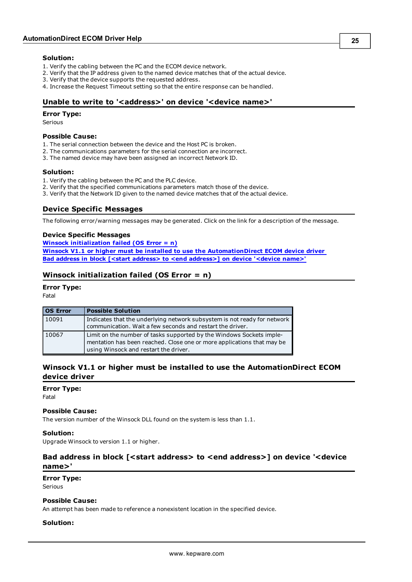#### **Solution:**

- 1. Verify the cabling between the PC and the ECOM device network.
- 2. Verify that the IP address given to the named device matches that of the actual device.
- 3. Verify that the device supports the requested address.
- <span id="page-24-0"></span>4. Increase the Request Timeout setting so that the entire response can be handled.

#### Unable to write to '<address>' on device '<device name>'

#### **Error Type:**

Serious

#### **Possible Cause:**

- 1. The serial connection between the device and the Host PC is broken.
- 2. The communications parameters for the serial connection are incorrect.
- 3. The named device may have been assigned an incorrect Network ID.

#### **Solution:**

- 1. Verify the cabling between the PC and the PLC device.
- 2. Verify that the specified communications parameters match those of the device.
- <span id="page-24-1"></span>3. Verify that the Network ID given to the named device matches that of the actual device.

#### **Device Specific Messages**

The following error/warning messages may be generated. Click on the link for a description of the message.

#### **Device Specific Messages**

**[Winsock](#page-24-2) [initialization](#page-24-2) [failed](#page-24-2) [\(OS](#page-24-2) [Error](#page-24-2) [=](#page-24-2) [n\)](#page-24-2) [Winsock](#page-24-3) [V1.1](#page-24-3) [or](#page-24-3) [higher](#page-24-3) [must](#page-24-3) [be](#page-24-3) [installed](#page-24-3) [to](#page-24-3) [use](#page-24-3) [the](#page-24-3) [AutomationDirect](#page-24-3) [ECOM](#page-24-3) [device](#page-24-3) [driver](#page-24-3) [Bad](#page-24-4) [address](#page-24-4) [in](#page-24-4) [block](#page-24-4) [\[<start](#page-24-4) [address>](#page-24-4) [to](#page-24-4) [<end](#page-24-4) [address>\]](#page-24-4) [on](#page-24-4) [device](#page-24-4) ['<device](#page-24-4) [name>'](#page-24-4)**

#### <span id="page-24-2"></span>**Winsock initialization failed (OS Error = n)**

#### **Error Type:**

Fatal

| <b>OS Error</b> | <b>Possible Solution</b>                                                                                                                                                                |
|-----------------|-----------------------------------------------------------------------------------------------------------------------------------------------------------------------------------------|
| 10091           | Indicates that the underlying network subsystem is not ready for network<br>communication. Wait a few seconds and restart the driver.                                                   |
| 10067           | Limit on the number of tasks supported by the Windows Sockets imple-<br>mentation has been reached. Close one or more applications that may be<br>using Winsock and restart the driver. |

#### <span id="page-24-3"></span>**Winsock V1.1 or higher must be installed to use the AutomationDirect ECOM device driver**

#### **Error Type:**

Fatal

#### **Possible Cause:**

The version number of the Winsock DLL found on the system is less than 1.1.

#### **Solution:**

<span id="page-24-4"></span>Upgrade Winsock to version 1.1 or higher.

#### **Bad address in block [<start address> to <end address>] on device '<device name>'**

### **Error Type:**

Serious

#### **Possible Cause:**

An attempt has been made to reference a nonexistent location in the specified device.

#### **Solution:**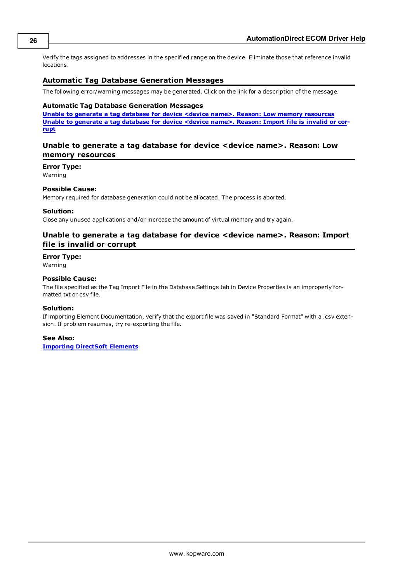Verify the tags assigned to addresses in the specified range on the device. Eliminate those that reference invalid locations.

#### <span id="page-25-0"></span>**Automatic Tag Database Generation Messages**

The following error/warning messages may be generated. Click on the link for a description of the message.

#### **Automatic Tag Database Generation Messages**

**[Unable](#page-25-1) [to](#page-25-1) [generate](#page-25-1) [a](#page-25-1) [tag](#page-25-1) [database](#page-25-1) [for](#page-25-1) [device](#page-25-1) [<device](#page-25-1) [name>.](#page-25-1) [Reason:](#page-25-1) [Low](#page-25-1) [memory](#page-25-1) [resources](#page-25-1) [Unable](#page-25-2) [to](#page-25-2) [generate](#page-25-2) [a](#page-25-2) [tag](#page-25-2) [database](#page-25-2) [for](#page-25-2) [device](#page-25-2) [<device](#page-25-2) [name>.](#page-25-2) [Reason:](#page-25-2) [Import](#page-25-2) [file](#page-25-2) [is](#page-25-2) [invalid](#page-25-2) [or](#page-25-2) [cor](#page-25-2)[rupt](#page-25-2)**

#### <span id="page-25-1"></span>**Unable to generate a tag database for device <device name>. Reason: Low memory resources**

**Error Type:**

Warning

#### **Possible Cause:**

Memory required for database generation could not be allocated. The process is aborted.

#### **Solution:**

<span id="page-25-2"></span>Close any unused applications and/or increase the amount of virtual memory and try again.

#### **Unable to generate a tag database for device <device name>. Reason: Import file is invalid or corrupt**

#### **Error Type:**

Warning

#### **Possible Cause:**

The file specified as the Tag Import File in the Database Settings tab in Device Properties is an improperly formatted txt or csv file.

#### **Solution:**

If importing Element Documentation, verify that the export file was saved in "Standard Format" with a .csv extension. If problem resumes, try re-exporting the file.

#### **See Also:**

**[Importing](#page-6-3) [DirectSoft](#page-6-3) [Elements](#page-6-3)**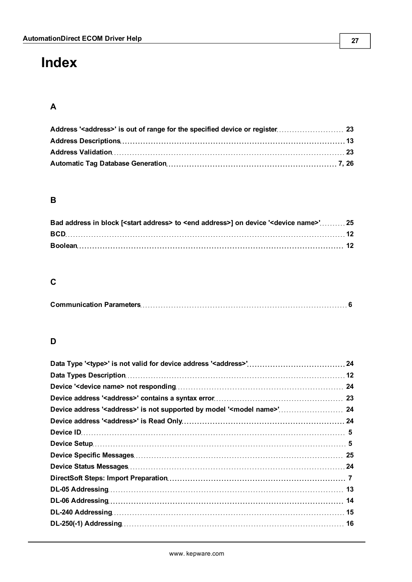# <span id="page-26-0"></span>**Index**

### **A**

### **B**

| Bad address in block [ <start address=""> to <end address="">] on device '<device name="">'25</device></end></start> |  |
|----------------------------------------------------------------------------------------------------------------------|--|
|                                                                                                                      |  |
|                                                                                                                      |  |

### **C**

|--|--|

### **D**

| Device address ' <address>' is not supported by model '<model name="">' 24</model></address> |  |
|----------------------------------------------------------------------------------------------|--|
|                                                                                              |  |
|                                                                                              |  |
|                                                                                              |  |
|                                                                                              |  |
|                                                                                              |  |
|                                                                                              |  |
|                                                                                              |  |
|                                                                                              |  |
|                                                                                              |  |
|                                                                                              |  |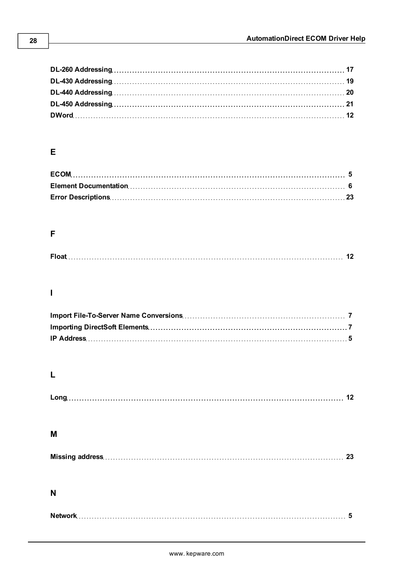### **E**

### **F**

|--|

### **I**

### **L**

### **M**

### **N**